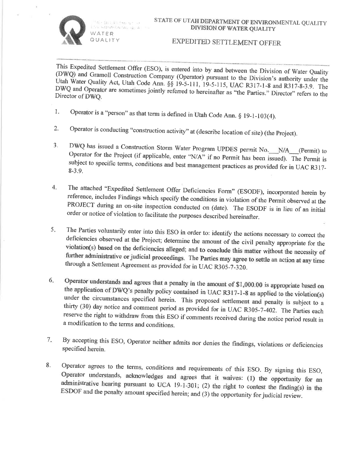

We disk All from up be-The Automative Case is a WATER QUALITY

## EXPEDITED SETTLEMENT OFFER

This Expedited Settlement Offer (ESO), is entered into by and between the Division of Water Quality (DWQ) and Gramoll Construction Company (Operator) pursuant to the Division's authority under the Utah Water Quality Act, Utah Code Ann. §§ 19-5-111, 19-5-115, UAC R317-1-8 and R317-8-3.9. The DWQ and Operator are sometimes jointly referred to hereinafter as "the Parties." Director" refers to the Director of DWQ.

- Operator is a "person" as that term is defined in Utah Code Ann.  $\S$  19-1-103(4). 1.
- Operator is conducting "construction activity" at (describe location of site) (the Project).  $2.$
- DWQ has issued a Construction Storm Water Program UPDES permit No. N/A (Permit) to  $3<sub>1</sub>$ Operator for the Project (if applicable, enter "N/A" if no Permit has been issued). The Permit is subject to specific terms, conditions and best management practices as provided for in UAC R317- $8 - 3.9.$
- The attached "Expedited Settlement Offer Deficiencies Form" (ESODF), incorporated herein by 4. reference, includes Findings which specify the conditions in violation of the Permit observed at the PROJECT during an on-site inspection conducted on (date). The ESODF is in lieu of an initial order or notice of violation to facilitate the purposes described hereinafter.
- The Parties voluntarily enter into this ESO in order to: identify the actions necessary to correct the  $5.$ deficiencies observed at the Project; determine the amount of the civil penalty appropriate for the violation(s) based on the deficiencies alleged; and to conclude this matter without the necessity of further administrative or judicial proceedings. The Parties may agree to settle an action at any time through a Settlement Agreement as provided for in UAC R305-7-320.
- Operator understands and agrees that a penalty in the amount of \$1,000.00 is appropriate based on 6. the application of DWQ's penalty policy contained in UAC R317-1-8 as applied to the violation(s) under the circumstances specified herein. This proposed settlement and penalty is subject to a thirty (30) day notice and comment period as provided for in UAC R305-7-402. The Parties each reserve the right to withdraw from this ESO if comments received during the notice period result in a modification to the terms and conditions.
- $7.$ By accepting this ESO, Operator neither admits nor denies the findings, violations or deficiencies specified herein.
- Operator agrees to the terms, conditions and requirements of this ESO. By signing this ESO, 8. Operator understands, acknowledges and agrees that it waives: (1) the opportunity for an administrative hearing pursuant to UCA 19-1-301; (2) the right to contest the finding(s) in the ESDOF and the penalty amount specified herein; and (3) the opportunity for judicial review.